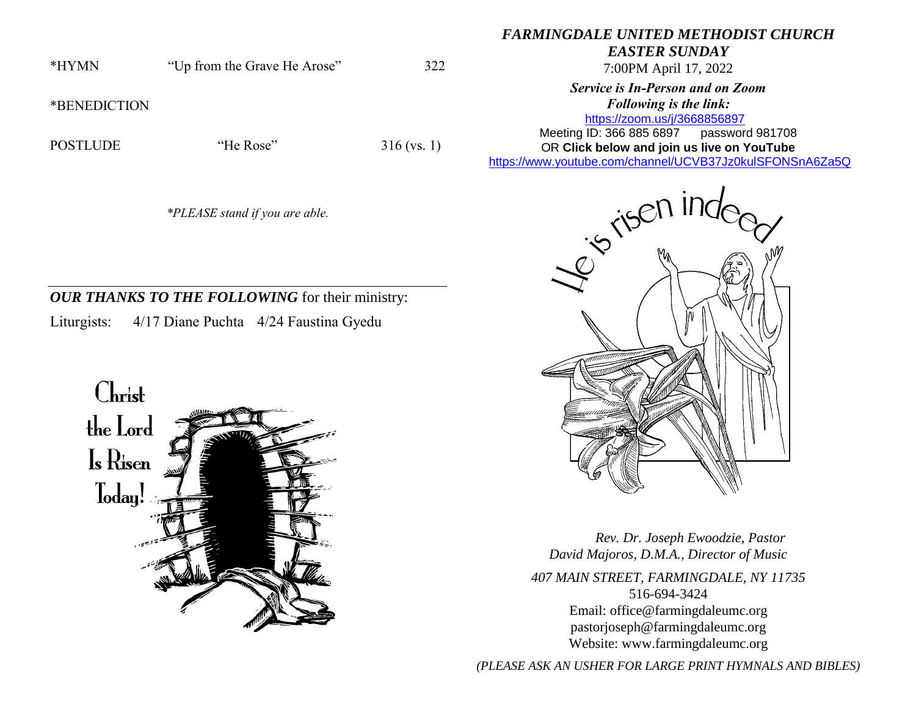\*HYMN "Up from the Grave He Arose" 322

\*BENEDICTION

POSTLUDE "He Rose" 316 (vs. 1)

*\*PLEASE stand if you are able.*

## *OUR THANKS TO THE FOLLOWING* for their ministry: Liturgists: 4/17 Diane Puchta 4/24 Faustina Gyedu

Christ the Lord  $\mathbf{I}_s$  Risen loday!

## *FARMINGDALE UNITED METHODIST CHURCH*

*EASTER SUNDAY*

7:00PM April 17, 2022

*Service is In-Person and on Zoom Following is the link:*

<https://zoom.us/j/3668856897> Meeting ID: 366 885 6897 password 981708 OR **Click below and join us live on YouTube**  [https://www.youtube.com/channel/UCVB37Jz0kulSFONSnA6Za5Q](https://r20.rs6.net/tn.jsp?f=001k6RGPvPFbGGMIcfKWiNR_iQRr6wnePVJO5wPBmTGTUG-6H7Rno-Ccjzncf7RAcA2aCO1usCGiuYYhUDPog8HWc38p-B70aEHKS8a7AZ633unLlDnlsyY1rSZY7DrB1di009D1MFmnX36MQIEkLrC34ZIDpgMTMT95Xsd-rYhXX761Me0QKhAdY1E-Os86l7d&c=&ch=)



 *Rev. Dr. Joseph Ewoodzie, Pastor David Majoros, D.M.A., Director of Music 407 MAIN STREET, FARMINGDALE, NY 11735* 516-694-3424 Email: [office@farmingdaleumc.org](mailto:office@farmingdaleumc.org) pastorjoseph@farmingdaleumc.org Website: www.farmingdaleumc.org

*(PLEASE ASK AN USHER FOR LARGE PRINT HYMNALS AND BIBLES)*